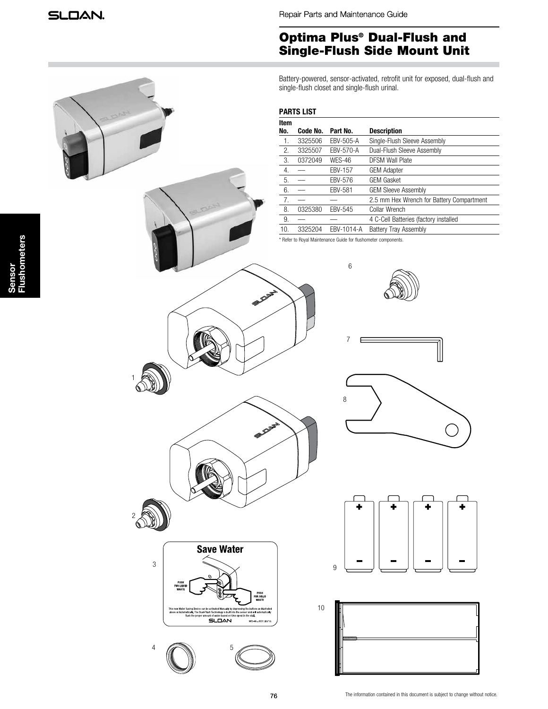Repair Parts and Maintenance Guide

# Optima Plus® Dual-Flush and Single-Flush Side Mount Unit

Battery-powered, sensor-activated, retrofit unit for exposed, dual-flush and single-flush closet and single-flush urinal.

### **PARTS LIST**

| Item             |          |                |                                           |
|------------------|----------|----------------|-------------------------------------------|
| No.              | Code No. | Part No.       | <b>Description</b>                        |
| $\overline{1}$ . | 3325506  | EBV-505-A      | Single-Flush Sleeve Assembly              |
| 2.               | 3325507  | EBV-570-A      | Dual-Flush Sleeve Assembly                |
| 3.               | 0372049  | <b>WES-46</b>  | <b>DFSM Wall Plate</b>                    |
| 4.               |          | <b>EBV-157</b> | <b>GEM Adapter</b>                        |
| 5.               |          | EBV-576        | <b>GEM Gasket</b>                         |
| 6.               |          | <b>EBV-581</b> | <b>GEM Sleeve Assembly</b>                |
| 7.               |          |                | 2.5 mm Hex Wrench for Battery Compartment |
| 8.               | 0325380  | EBV-545        | Collar Wrench                             |
| 9.               |          |                | 4 C-Cell Batteries (factory installed     |
| 10.              | 3325204  | EBV-1014-A     | <b>Battery Tray Assembly</b>              |

\* Refer to Royal Maintenance Guide for flushometer components.

6

7





 $4 \sqrt{2}$  5